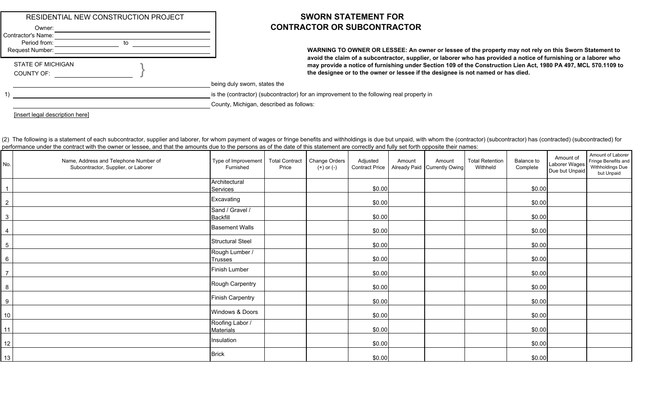|                                                                 | RESIDENTIAL NEW CONSTRUCTION PROJECT |          |
|-----------------------------------------------------------------|--------------------------------------|----------|
| Owner:<br>Contractor's Name:<br>Period from:<br>Request Number: | to                                   |          |
| <b>STATE OF MICHIGAN</b><br><b>COUNTY OF:</b>                   |                                      |          |
|                                                                 |                                      | being c  |
|                                                                 |                                      | is the ( |
|                                                                 |                                      | County   |

## **SWORN STATEMENT FOR** Owner: **CONTRACTOR OR SUBCONTRACTOR**

**WARNING TO OWNER OR LESSEE: An owner or lessee of the property may not rely on this Sworn Statement to avoid the claim of a subcontractor, supplier, or laborer who has provided a notice of furnishing or a laborer who may provide a notice of furnishing under Section 109 of the Construction Lien Act, 1980 PA 497, MCL 570.1109 to the designee or to the owner or lessee if the designee is not named or has died.**

duly sworn, states the

(contractor) (subcontractor) for an improvement to the following real property in

, Michigan, described as follows:

[insert legal description here]

(2) The following is a statement of each subcontractor, supplier and laborer, for whom payment of wages or fringe benefits and withholdings is due but unpaid, with whom the (contractor) (subcontractor) has (contracted) (su performance under the contract with the owner or lessee, and that the amounts due to the persons as of the date of this statement are correctly and fully set forth opposite their names:

| No.              | Name, Address and Telephone Number of<br>Subcontractor, Supplier, or Laborer | Type of Improvement<br>Furnished    | <b>Total Contract</b><br>Price | Change Orders<br>(+) or (-) | Adjusted<br><b>Contract Price</b> | Amount | Amount<br>Already Paid Currently Owing | <b>Total Retention</b><br>Withheld | Balance to<br>Complete | Amount of<br>Laborer Wages<br>Due but Unpaid | Amount of Laborer<br>Fringe Benefits and<br>Withholdings Due<br>but Unpaid |
|------------------|------------------------------------------------------------------------------|-------------------------------------|--------------------------------|-----------------------------|-----------------------------------|--------|----------------------------------------|------------------------------------|------------------------|----------------------------------------------|----------------------------------------------------------------------------|
|                  |                                                                              | Architectural<br>Services           |                                |                             | \$0.00                            |        |                                        |                                    | \$0.00                 |                                              |                                                                            |
| $\overline{2}$   |                                                                              | Excavating                          |                                |                             | \$0.00                            |        |                                        |                                    | \$0.00                 |                                              |                                                                            |
| $\mathbf{3}$     |                                                                              | Sand / Gravel /<br><b>Backfill</b>  |                                |                             | \$0.00                            |        |                                        |                                    | \$0.00                 |                                              |                                                                            |
| $\overline{4}$   |                                                                              | <b>Basement Walls</b>               |                                |                             | \$0.00                            |        |                                        |                                    | \$0.00                 |                                              |                                                                            |
| $\overline{5}$   |                                                                              | <b>Structural Steel</b>             |                                |                             | \$0.00                            |        |                                        |                                    | \$0.00                 |                                              |                                                                            |
| $\,6\,$          |                                                                              | Rough Lumber /<br><b>Trusses</b>    |                                |                             | \$0.00                            |        |                                        |                                    | \$0.00                 |                                              |                                                                            |
| $\overline{7}$   |                                                                              | Finish Lumber                       |                                |                             | \$0.00                            |        |                                        |                                    | \$0.00                 |                                              |                                                                            |
| $\,8\,$          |                                                                              | Rough Carpentry                     |                                |                             | \$0.00                            |        |                                        |                                    | \$0.00                 |                                              |                                                                            |
| $\boldsymbol{9}$ |                                                                              | <b>Finish Carpentry</b>             |                                |                             | \$0.00                            |        |                                        |                                    | \$0.00                 |                                              |                                                                            |
| $10$             |                                                                              | Windows & Doors                     |                                |                             | \$0.00                            |        |                                        |                                    | \$0.00                 |                                              |                                                                            |
| 11               |                                                                              | Roofing Labor /<br><b>Materials</b> |                                |                             | \$0.00                            |        |                                        |                                    | \$0.00                 |                                              |                                                                            |
| 12               |                                                                              | Insulation                          |                                |                             | \$0.00                            |        |                                        |                                    | \$0.00                 |                                              |                                                                            |
| 13               |                                                                              | <b>Brick</b>                        |                                |                             | \$0.00                            |        |                                        |                                    | \$0.00                 |                                              |                                                                            |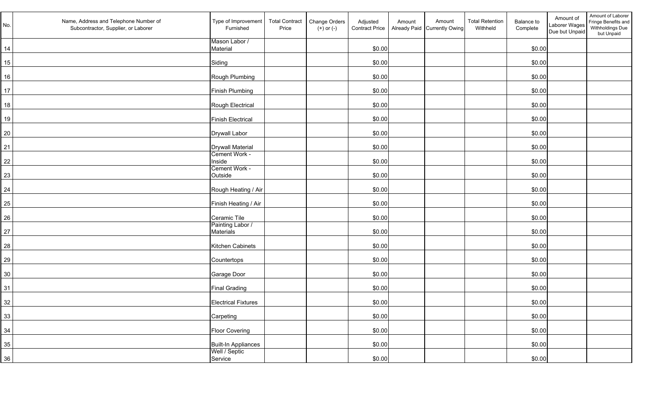| No. | Name, Address and Telephone Number of<br>Subcontractor, Supplier, or Laborer | Type of Improvement<br>Furnished     | <b>Total Contract</b><br>Price | Change Orders<br>$(+)$ or $(-)$ | Adjusted<br><b>Contract Price</b> | Amount | Amount<br>Already Paid Currently Owing | <b>Total Retention</b><br>Withheld | Balance to<br>Complete | Amount of<br>Laborer Wages<br>Due but Unpaid | Amount of Laborer<br>Fringe Benefits and<br>Withholdings Due<br>but Unpaid |
|-----|------------------------------------------------------------------------------|--------------------------------------|--------------------------------|---------------------------------|-----------------------------------|--------|----------------------------------------|------------------------------------|------------------------|----------------------------------------------|----------------------------------------------------------------------------|
| 14  |                                                                              | Mason Labor /<br>Material            |                                |                                 | \$0.00                            |        |                                        |                                    | \$0.00                 |                                              |                                                                            |
| 15  |                                                                              | Siding                               |                                |                                 | \$0.00                            |        |                                        |                                    | \$0.00                 |                                              |                                                                            |
| 16  |                                                                              | Rough Plumbing                       |                                |                                 | \$0.00                            |        |                                        |                                    | \$0.00                 |                                              |                                                                            |
| 17  |                                                                              | Finish Plumbing                      |                                |                                 | \$0.00                            |        |                                        |                                    | \$0.00                 |                                              |                                                                            |
| 18  |                                                                              | Rough Electrical                     |                                |                                 | \$0.00                            |        |                                        |                                    | \$0.00                 |                                              |                                                                            |
| 19  |                                                                              | <b>Finish Electrical</b>             |                                |                                 | \$0.00                            |        |                                        |                                    | \$0.00                 |                                              |                                                                            |
| 20  |                                                                              | <b>Drywall Labor</b>                 |                                |                                 | \$0.00                            |        |                                        |                                    | \$0.00                 |                                              |                                                                            |
| 21  |                                                                              | <b>Drywall Material</b>              |                                |                                 | \$0.00                            |        |                                        |                                    | \$0.00                 |                                              |                                                                            |
| 22  |                                                                              | Cement Work -<br>Inside              |                                |                                 | \$0.00                            |        |                                        |                                    | \$0.00                 |                                              |                                                                            |
| 23  |                                                                              | Cement Work -<br>Outside             |                                |                                 | \$0.00                            |        |                                        |                                    | \$0.00                 |                                              |                                                                            |
| 24  |                                                                              | Rough Heating / Air                  |                                |                                 | \$0.00                            |        |                                        |                                    | \$0.00                 |                                              |                                                                            |
| 25  |                                                                              | Finish Heating / Air                 |                                |                                 | \$0.00                            |        |                                        |                                    | \$0.00                 |                                              |                                                                            |
| 26  |                                                                              | Ceramic Tile                         |                                |                                 | \$0.00                            |        |                                        |                                    | \$0.00                 |                                              |                                                                            |
| 27  |                                                                              | Painting Labor /<br><b>Materials</b> |                                |                                 | \$0.00                            |        |                                        |                                    | \$0.00                 |                                              |                                                                            |
| 28  |                                                                              | Kitchen Cabinets                     |                                |                                 | \$0.00                            |        |                                        |                                    | \$0.00                 |                                              |                                                                            |
| 29  |                                                                              | Countertops                          |                                |                                 | \$0.00                            |        |                                        |                                    | \$0.00                 |                                              |                                                                            |
| 30  |                                                                              | Garage Door                          |                                |                                 | \$0.00                            |        |                                        |                                    | \$0.00                 |                                              |                                                                            |
| 31  |                                                                              | <b>Final Grading</b>                 |                                |                                 | \$0.00                            |        |                                        |                                    | \$0.00                 |                                              |                                                                            |
| 32  |                                                                              | <b>Electrical Fixtures</b>           |                                |                                 | \$0.00                            |        |                                        |                                    | \$0.00                 |                                              |                                                                            |
| 33  |                                                                              | Carpeting                            |                                |                                 | \$0.00                            |        |                                        |                                    | \$0.00                 |                                              |                                                                            |
| 34  |                                                                              | Floor Covering                       |                                |                                 | \$0.00                            |        |                                        |                                    | \$0.00                 |                                              |                                                                            |
| 35  |                                                                              | Built-In Appliances<br>Well / Septic |                                |                                 | \$0.00                            |        |                                        |                                    | \$0.00                 |                                              |                                                                            |
| 36  |                                                                              | Service                              |                                |                                 | \$0.00                            |        |                                        |                                    | \$0.00                 |                                              |                                                                            |